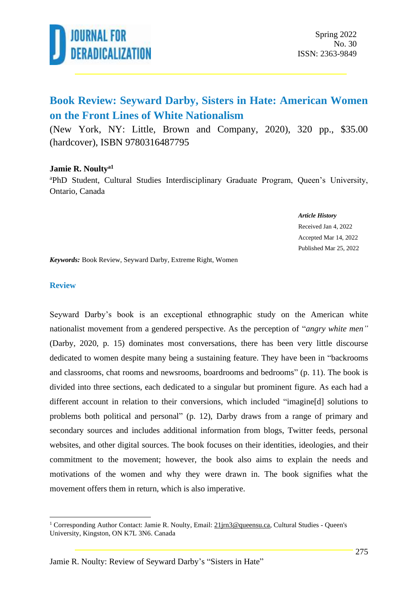

### **Book Review: Seyward Darby, Sisters in Hate: American Women on the Front Lines of White Nationalism**

(New York, NY: Little, Brown and Company, 2020), 320 pp., \$35.00 (hardcover), ISBN 9780316487795

#### **Jamie R. Noultya1**

<sup>a</sup>PhD Student, Cultural Studies Interdisciplinary Graduate Program, Queen's University, Ontario, Canada

#### *Article History*

Received Jan 4, 2022 Accepted Mar 14, 2022 Published Mar 25, 2022

*Keywords:* Book Review, Seyward Darby, Extreme Right, Women

#### **Review**

Seyward Darby's book is an exceptional ethnographic study on the American white nationalist movement from a gendered perspective. As the perception of "*angry white men"* (Darby, 2020, p. 15) dominates most conversations, there has been very little discourse dedicated to women despite many being a sustaining feature. They have been in "backrooms and classrooms, chat rooms and newsrooms, boardrooms and bedrooms" (p. 11). The book is divided into three sections, each dedicated to a singular but prominent figure. As each had a different account in relation to their conversions, which included "imagine[d] solutions to problems both political and personal" (p. 12), Darby draws from a range of primary and secondary sources and includes additional information from blogs, Twitter feeds, personal websites, and other digital sources. The book focuses on their identities, ideologies, and their commitment to the movement; however, the book also aims to explain the needs and motivations of the women and why they were drawn in. The book signifies what the movement offers them in return, which is also imperative.

<sup>&</sup>lt;sup>1</sup> Corresponding Author Contact: Jamie R. Noulty, Email: [21jrn3@queensu.ca,](mailto:21jrn3@queensu.ca) Cultural Studies - Queen's University, Kingston, ON K7L 3N6. Canada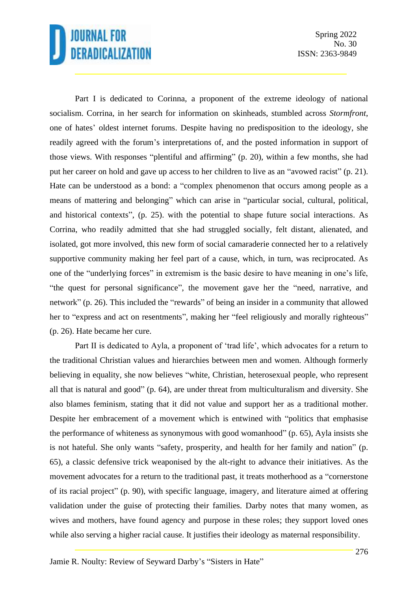# **JOURNAL FOR** DERADICALIZATION

Spring 2022 No. 30 ISSN: 2363-9849

Part I is dedicated to Corinna, a proponent of the extreme ideology of national socialism. Corrina, in her search for information on skinheads, stumbled across *Stormfront*, one of hates' oldest internet forums. Despite having no predisposition to the ideology, she readily agreed with the forum's interpretations of, and the posted information in support of those views. With responses "plentiful and affirming" (p. 20), within a few months, she had put her career on hold and gave up access to her children to live as an "avowed racist" (p. 21). Hate can be understood as a bond: a "complex phenomenon that occurs among people as a means of mattering and belonging" which can arise in "particular social, cultural, political, and historical contexts", (p. 25). with the potential to shape future social interactions. As Corrina, who readily admitted that she had struggled socially, felt distant, alienated, and isolated, got more involved, this new form of social camaraderie connected her to a relatively supportive community making her feel part of a cause, which, in turn, was reciprocated. As one of the "underlying forces" in extremism is the basic desire to have meaning in one's life, "the quest for personal significance", the movement gave her the "need, narrative, and network" (p. 26). This included the "rewards" of being an insider in a community that allowed her to "express and act on resentments", making her "feel religiously and morally righteous" (p. 26). Hate became her cure.

Part II is dedicated to Ayla, a proponent of 'trad life', which advocates for a return to the traditional Christian values and hierarchies between men and women. Although formerly believing in equality, she now believes "white, Christian, heterosexual people, who represent all that is natural and good" (p. 64), are under threat from multiculturalism and diversity. She also blames feminism, stating that it did not value and support her as a traditional mother. Despite her embracement of a movement which is entwined with "politics that emphasise the performance of whiteness as synonymous with good womanhood" (p. 65), Ayla insists she is not hateful. She only wants "safety, prosperity, and health for her family and nation" (p. 65), a classic defensive trick weaponised by the alt-right to advance their initiatives. As the movement advocates for a return to the traditional past, it treats motherhood as a "cornerstone of its racial project" (p. 90), with specific language, imagery, and literature aimed at offering validation under the guise of protecting their families. Darby notes that many women, as wives and mothers, have found agency and purpose in these roles; they support loved ones while also serving a higher racial cause. It justifies their ideology as maternal responsibility.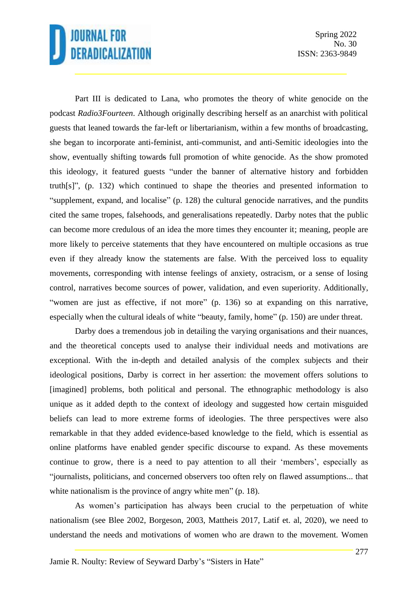# **JOURNAL FOR** DERADICALIZATION

Spring 2022 No. 30 ISSN: 2363-9849

Part III is dedicated to Lana, who promotes the theory of white genocide on the podcast *Radio3Fourteen*. Although originally describing herself as an anarchist with political guests that leaned towards the far-left or libertarianism, within a few months of broadcasting, she began to incorporate anti-feminist, anti-communist, and anti-Semitic ideologies into the show, eventually shifting towards full promotion of white genocide. As the show promoted this ideology, it featured guests "under the banner of alternative history and forbidden truth[s]", (p. 132) which continued to shape the theories and presented information to "supplement, expand, and localise" (p. 128) the cultural genocide narratives, and the pundits cited the same tropes, falsehoods, and generalisations repeatedly. Darby notes that the public can become more credulous of an idea the more times they encounter it; meaning, people are more likely to perceive statements that they have encountered on multiple occasions as true even if they already know the statements are false. With the perceived loss to equality movements, corresponding with intense feelings of anxiety, ostracism, or a sense of losing control, narratives become sources of power, validation, and even superiority. Additionally, "women are just as effective, if not more" (p. 136) so at expanding on this narrative, especially when the cultural ideals of white "beauty, family, home" (p. 150) are under threat.

Darby does a tremendous job in detailing the varying organisations and their nuances, and the theoretical concepts used to analyse their individual needs and motivations are exceptional. With the in-depth and detailed analysis of the complex subjects and their ideological positions, Darby is correct in her assertion: the movement offers solutions to [imagined] problems, both political and personal. The ethnographic methodology is also unique as it added depth to the context of ideology and suggested how certain misguided beliefs can lead to more extreme forms of ideologies. The three perspectives were also remarkable in that they added evidence-based knowledge to the field, which is essential as online platforms have enabled gender specific discourse to expand. As these movements continue to grow, there is a need to pay attention to all their 'members', especially as "journalists, politicians, and concerned observers too often rely on flawed assumptions... that white nationalism is the province of angry white men" (p. 18).

As women's participation has always been crucial to the perpetuation of white nationalism (see Blee 2002, Borgeson, 2003, Mattheis 2017, Latif et. al, 2020), we need to understand the needs and motivations of women who are drawn to the movement. Women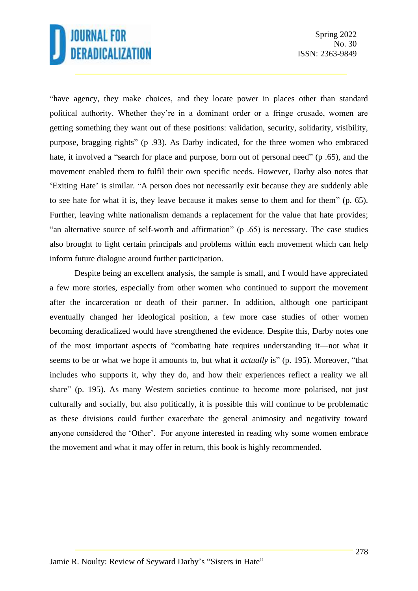## **JOURNAL FOR** DERADICALIZATION

"have agency, they make choices, and they locate power in places other than standard political authority. Whether they're in a dominant order or a fringe crusade, women are getting something they want out of these positions: validation, security, solidarity, visibility, purpose, bragging rights" (p .93). As Darby indicated, for the three women who embraced hate, it involved a "search for place and purpose, born out of personal need" (p. 65), and the movement enabled them to fulfil their own specific needs. However, Darby also notes that 'Exiting Hate' is similar. "A person does not necessarily exit because they are suddenly able to see hate for what it is, they leave because it makes sense to them and for them" (p. 65). Further, leaving white nationalism demands a replacement for the value that hate provides; "an alternative source of self-worth and affirmation" (p .65) is necessary. The case studies also brought to light certain principals and problems within each movement which can help inform future dialogue around further participation.

Despite being an excellent analysis, the sample is small, and I would have appreciated a few more stories, especially from other women who continued to support the movement after the incarceration or death of their partner. In addition, although one participant eventually changed her ideological position, a few more case studies of other women becoming deradicalized would have strengthened the evidence. Despite this, Darby notes one of the most important aspects of "combating hate requires understanding it—not what it seems to be or what we hope it amounts to, but what it *actually* is" (p. 195). Moreover, "that includes who supports it, why they do, and how their experiences reflect a reality we all share" (p. 195). As many Western societies continue to become more polarised, not just culturally and socially, but also politically, it is possible this will continue to be problematic as these divisions could further exacerbate the general animosity and negativity toward anyone considered the 'Other'. For anyone interested in reading why some women embrace the movement and what it may offer in return, this book is highly recommended.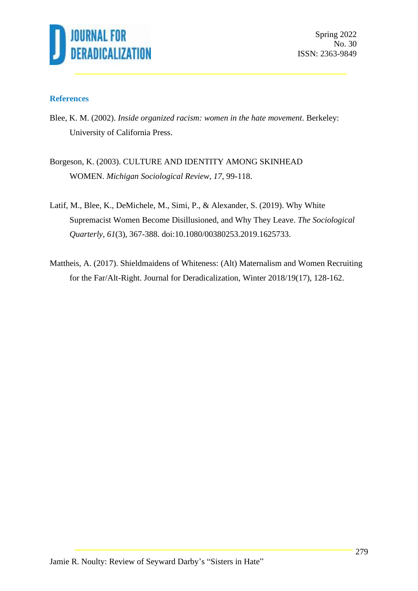

Spring 2022 No. 30 ISSN: 2363-9849

### **References**

- Blee, K. M. (2002). *Inside organized racism: women in the hate movement*. Berkeley: University of California Press.
- Borgeson, K. (2003). CULTURE AND IDENTITY AMONG SKINHEAD WOMEN. *Michigan Sociological Review, 17*, 99-118.
- Latif, M., Blee, K., DeMichele, M., Simi, P., & Alexander, S. (2019). Why White Supremacist Women Become Disillusioned, and Why They Leave. *The Sociological Quarterly, 61*(3), 367-388. doi:10.1080/00380253.2019.1625733.
- Mattheis, A. (2017). Shieldmaidens of Whiteness: (Alt) Maternalism and Women Recruiting for the Far/Alt-Right. Journal for Deradicalization, Winter 2018/19(17), 128-162.